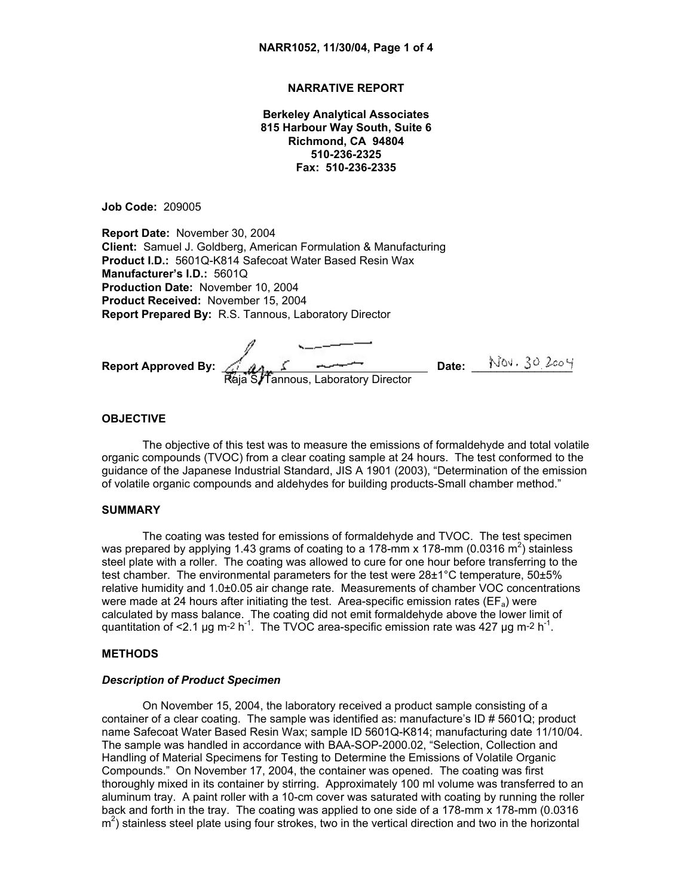# **NARRATIVE REPORT**

**Berkeley Analytical Associates 815 Harbour Way South, Suite 6 Richmond, CA 94804 510-236-2325 Fax: 510-236-2335**

**Job Code:** 209005

**Report Date:** November 30, 2004 **Client:** Samuel J. Goldberg, American Formulation & Manufacturing **Product I.D.:** 5601Q-K814 Safecoat Water Based Resin Wax **Manufacturer's I.D.:** 5601Q **Production Date:** November 10, 2004 **Product Received:** November 15, 2004 **Report Prepared By:** R.S. Tannous, Laboratory Director

**Report Approved By:** *Signature on file* **Date:** \_\_\_\_\_\_\_\_\_\_\_\_\_\_\_\_ Raja S/Tannous, Laboratory Director

# **OBJECTIVE**

The objective of this test was to measure the emissions of formaldehyde and total volatile organic compounds (TVOC) from a clear coating sample at 24 hours. The test conformed to the guidance of the Japanese Industrial Standard, JIS A 1901 (2003), "Determination of the emission of volatile organic compounds and aldehydes for building products-Small chamber method."

#### **SUMMARY**

The coating was tested for emissions of formaldehyde and TVOC. The test specimen was prepared by applying 1.43 grams of coating to a 178-mm x 178-mm (0.0316 m<sup>2</sup>) stainless steel plate with a roller. The coating was allowed to cure for one hour before transferring to the test chamber. The environmental parameters for the test were 28±1°C temperature, 50±5% relative humidity and 1.0±0.05 air change rate. Measurements of chamber VOC concentrations were made at 24 hours after initiating the test. Area-specific emission rates ( $EF_a$ ) were calculated by mass balance. The coating did not emit formaldehyde above the lower limit of quantitation of <2.1 µg m-2 h<sup>-1</sup>. The TVOC area-specific emission rate was 427 µg m-2 h<sup>-1</sup>.

#### **METHODS**

#### *Description of Product Specimen*

On November 15, 2004, the laboratory received a product sample consisting of a container of a clear coating. The sample was identified as: manufacture's ID # 5601Q; product name Safecoat Water Based Resin Wax; sample ID 5601Q-K814; manufacturing date 11/10/04. The sample was handled in accordance with BAA-SOP-2000.02, "Selection, Collection and Handling of Material Specimens for Testing to Determine the Emissions of Volatile Organic Compounds." On November 17, 2004, the container was opened. The coating was first thoroughly mixed in its container by stirring. Approximately 100 ml volume was transferred to an aluminum tray. A paint roller with a 10-cm cover was saturated with coating by running the roller back and forth in the tray. The coating was applied to one side of a 178-mm x 178-mm (0.0316  $m<sup>2</sup>$ ) stainless steel plate using four strokes, two in the vertical direction and two in the horizontal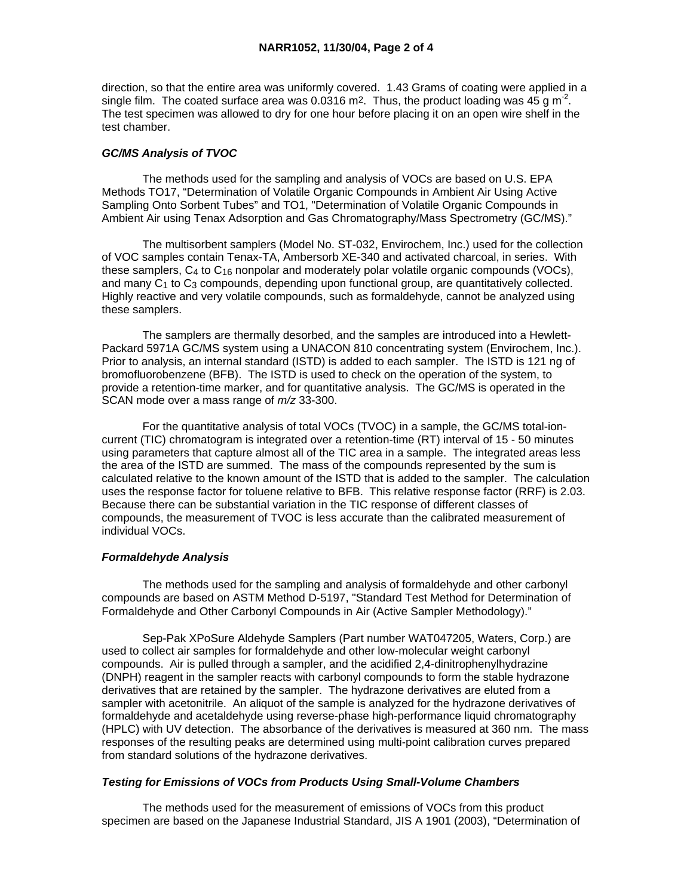direction, so that the entire area was uniformly covered. 1.43 Grams of coating were applied in a single film. The coated surface area was 0.0316 m<sup>2</sup>. Thus, the product loading was 45 g m<sup>-2</sup>. The test specimen was allowed to dry for one hour before placing it on an open wire shelf in the test chamber.

# *GC/MS Analysis of TVOC*

 The methods used for the sampling and analysis of VOCs are based on U.S. EPA Methods TO17, "Determination of Volatile Organic Compounds in Ambient Air Using Active Sampling Onto Sorbent Tubes" and TO1, "Determination of Volatile Organic Compounds in Ambient Air using Tenax Adsorption and Gas Chromatography/Mass Spectrometry (GC/MS)."

 The multisorbent samplers (Model No. ST-032, Envirochem, Inc.) used for the collection of VOC samples contain Tenax-TA, Ambersorb XE-340 and activated charcoal, in series. With these samplers,  $C_4$  to  $C_{16}$  nonpolar and moderately polar volatile organic compounds (VOCs), and many  $C_1$  to  $C_3$  compounds, depending upon functional group, are quantitatively collected. Highly reactive and very volatile compounds, such as formaldehyde, cannot be analyzed using these samplers.

 The samplers are thermally desorbed, and the samples are introduced into a Hewlett-Packard 5971A GC/MS system using a UNACON 810 concentrating system (Envirochem, Inc.). Prior to analysis, an internal standard (ISTD) is added to each sampler. The ISTD is 121 ng of bromofluorobenzene (BFB). The ISTD is used to check on the operation of the system, to provide a retention-time marker, and for quantitative analysis. The GC/MS is operated in the SCAN mode over a mass range of *m/z* 33-300.

 For the quantitative analysis of total VOCs (TVOC) in a sample, the GC/MS total-ioncurrent (TIC) chromatogram is integrated over a retention-time (RT) interval of 15 - 50 minutes using parameters that capture almost all of the TIC area in a sample. The integrated areas less the area of the ISTD are summed. The mass of the compounds represented by the sum is calculated relative to the known amount of the ISTD that is added to the sampler. The calculation uses the response factor for toluene relative to BFB. This relative response factor (RRF) is 2.03. Because there can be substantial variation in the TIC response of different classes of compounds, the measurement of TVOC is less accurate than the calibrated measurement of individual VOCs.

# *Formaldehyde Analysis*

 The methods used for the sampling and analysis of formaldehyde and other carbonyl compounds are based on ASTM Method D-5197, "Standard Test Method for Determination of Formaldehyde and Other Carbonyl Compounds in Air (Active Sampler Methodology)."

 Sep-Pak XPoSure Aldehyde Samplers (Part number WAT047205, Waters, Corp.) are used to collect air samples for formaldehyde and other low-molecular weight carbonyl compounds. Air is pulled through a sampler, and the acidified 2,4-dinitrophenylhydrazine (DNPH) reagent in the sampler reacts with carbonyl compounds to form the stable hydrazone derivatives that are retained by the sampler. The hydrazone derivatives are eluted from a sampler with acetonitrile. An aliquot of the sample is analyzed for the hydrazone derivatives of formaldehyde and acetaldehyde using reverse-phase high-performance liquid chromatography (HPLC) with UV detection. The absorbance of the derivatives is measured at 360 nm. The mass responses of the resulting peaks are determined using multi-point calibration curves prepared from standard solutions of the hydrazone derivatives.

### *Testing for Emissions of VOCs from Products Using Small-Volume Chambers*

 The methods used for the measurement of emissions of VOCs from this product specimen are based on the Japanese Industrial Standard, JIS A 1901 (2003), "Determination of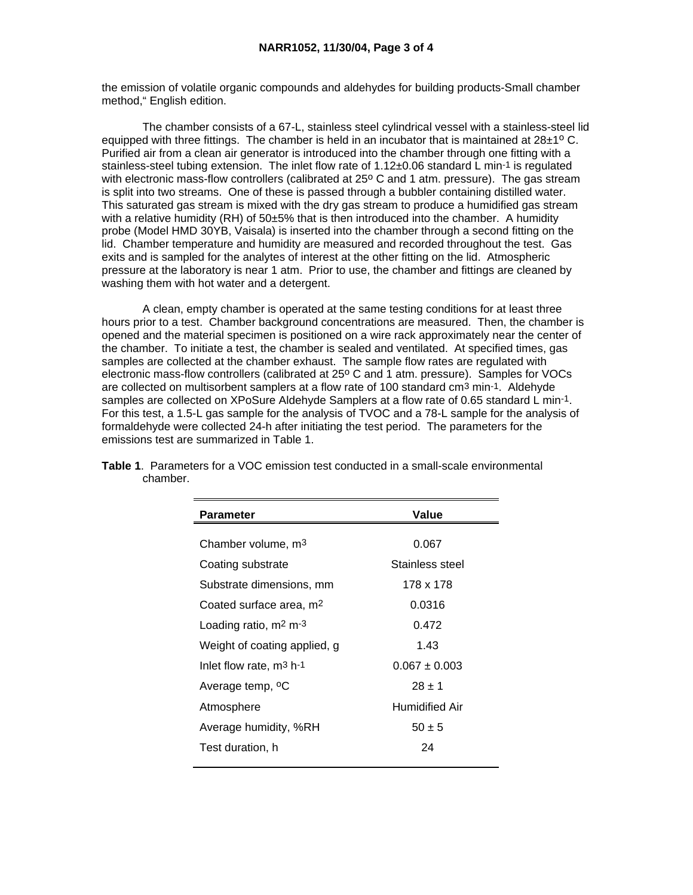the emission of volatile organic compounds and aldehydes for building products-Small chamber method," English edition.

 The chamber consists of a 67-L, stainless steel cylindrical vessel with a stainless-steel lid equipped with three fittings. The chamber is held in an incubator that is maintained at  $28\pm1^{\circ}$  C. Purified air from a clean air generator is introduced into the chamber through one fitting with a stainless-steel tubing extension. The inlet flow rate of 1.12±0.06 standard L min-1 is regulated with electronic mass-flow controllers (calibrated at 25° C and 1 atm. pressure). The gas stream is split into two streams. One of these is passed through a bubbler containing distilled water. This saturated gas stream is mixed with the dry gas stream to produce a humidified gas stream with a relative humidity  $(RH)$  of 50 $\pm$ 5% that is then introduced into the chamber. A humidity probe (Model HMD 30YB, Vaisala) is inserted into the chamber through a second fitting on the lid. Chamber temperature and humidity are measured and recorded throughout the test. Gas exits and is sampled for the analytes of interest at the other fitting on the lid. Atmospheric pressure at the laboratory is near 1 atm. Prior to use, the chamber and fittings are cleaned by washing them with hot water and a detergent.

 A clean, empty chamber is operated at the same testing conditions for at least three hours prior to a test. Chamber background concentrations are measured. Then, the chamber is opened and the material specimen is positioned on a wire rack approximately near the center of the chamber. To initiate a test, the chamber is sealed and ventilated. At specified times, gas samples are collected at the chamber exhaust. The sample flow rates are regulated with electronic mass-flow controllers (calibrated at 25° C and 1 atm. pressure). Samples for VOCs are collected on multisorbent samplers at a flow rate of 100 standard cm3 min-1. Aldehyde samples are collected on XPoSure Aldehyde Samplers at a flow rate of 0.65 standard L min-1. For this test, a 1.5-L gas sample for the analysis of TVOC and a 78-L sample for the analysis of formaldehyde were collected 24-h after initiating the test period. The parameters for the emissions test are summarized in Table 1.

| <b>Parameter</b>                    | Value             |
|-------------------------------------|-------------------|
|                                     |                   |
| Chamber volume, m <sup>3</sup>      | 0.067             |
| Coating substrate                   | Stainless steel   |
| Substrate dimensions, mm            | 178 x 178         |
| Coated surface area, m <sup>2</sup> | 0.0316            |
| Loading ratio, $m2 m-3$             | 0.472             |
| Weight of coating applied, g        | 1.43              |
| Inlet flow rate, $m^3$ h-1          | $0.067 \pm 0.003$ |
| Average temp, <sup>o</sup> C        | $28 \pm 1$        |
| Atmosphere                          | Humidified Air    |
| Average humidity, %RH               | $50 \pm 5$        |
| Test duration, h                    | 24                |
|                                     |                   |

**Table 1**. Parameters for a VOC emission test conducted in a small-scale environmental chamber.